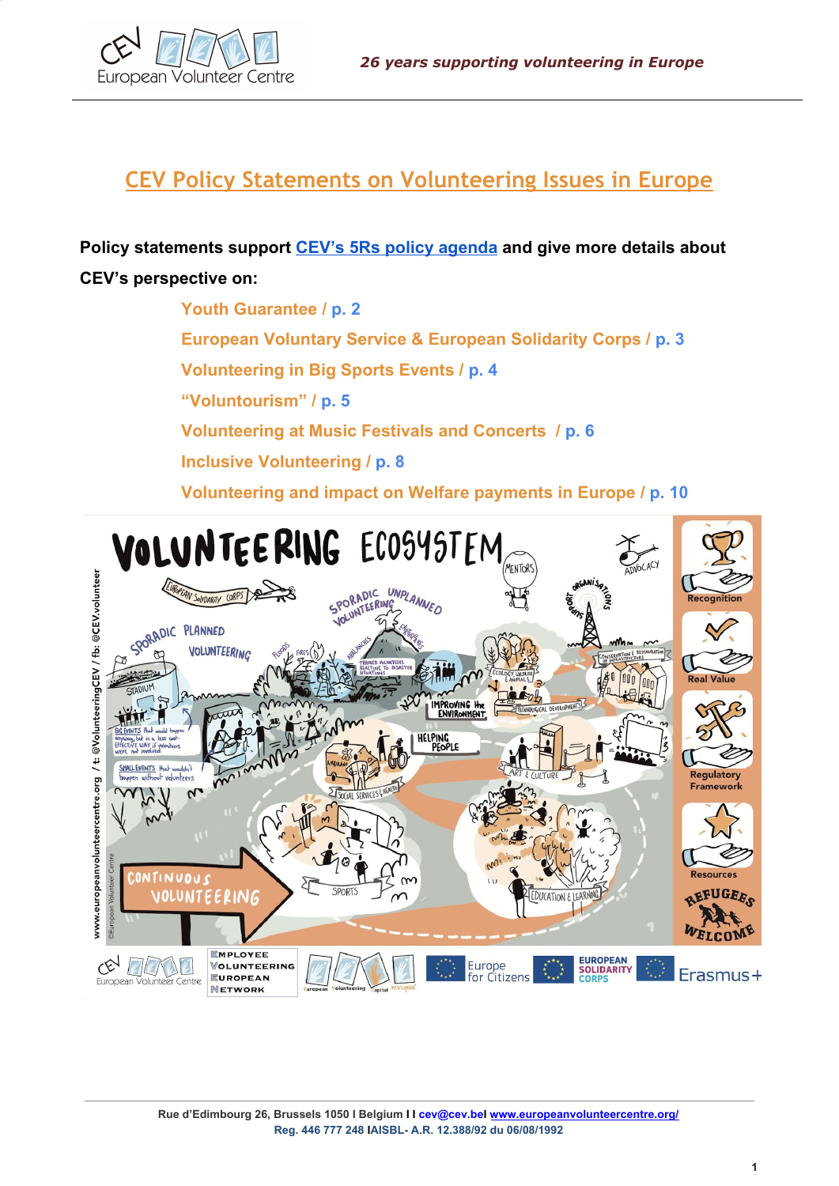

# **CEV Policy Statements on Volunteering Issues in Europe**

**Policy statements support [CEV's 5Rs policy agenda](http://www.cev.be/uploads/2015/12/HELPING_HANDS_Report.pdf) and give more details about CEV's perspective on:**

> **Youth Guarantee / p. 2 European Voluntary Service & European Solidarity Corps / p. 3 Volunteering in Big Sports Events / p. 4 "Voluntourism" / p. 5 Volunteering at Music Festivals and Concerts / p. 6 Inclusive Volunteering / p. 8 Volunteering and impact on Welfare payments in Europe / p. 10**

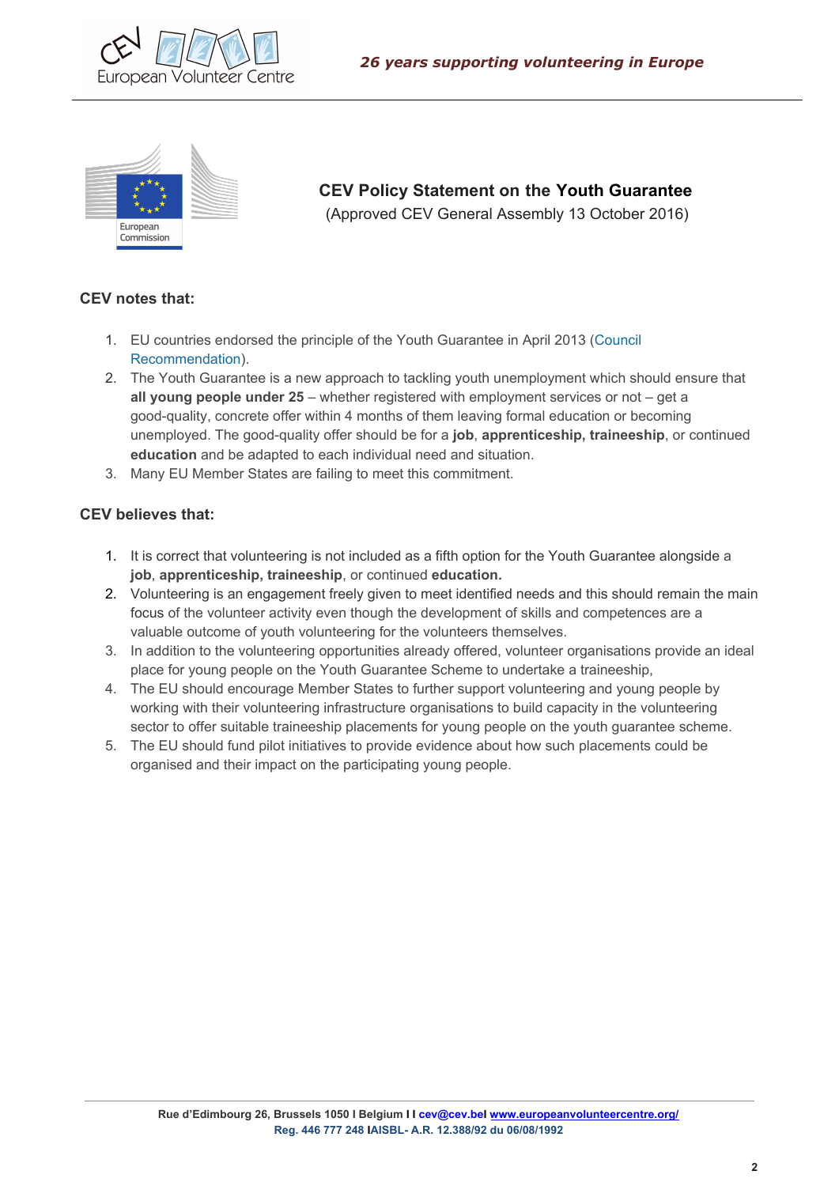



 **CEV Policy Statement on the Youth Guarantee** (Approved CEV General Assembly 13 October 2016)

### **CEV notes that:**

- 1. EU countries endorsed the principle of the Youth Guarantee in April 2013 ([Council](http://eur-lex.europa.eu/LexUriServ/LexUriServ.do?uri=CELEX:32013H0426(01):EN:NOT) [Recommendation](http://eur-lex.europa.eu/LexUriServ/LexUriServ.do?uri=CELEX:32013H0426(01):EN:NOT)).
- 2. The Youth Guarantee is a new approach to tackling youth unemployment which should ensure that **all young people under 25** – whether registered with employment services or not – get a good-quality, concrete offer within 4 months of them leaving formal education or becoming unemployed. The good-quality offer should be for a **job**, **apprenticeship, traineeship**, or continued **education** and be adapted to each individual need and situation.
- 3. Many EU Member States are failing to meet this commitment.

- 1. It is correct that volunteering is not included as a fifth option for the Youth Guarantee alongside a **job**, **apprenticeship, traineeship**, or continued **education.**
- 2. Volunteering is an engagement freely given to meet identified needs and this should remain the main focus of the volunteer activity even though the development of skills and competences are a valuable outcome of youth volunteering for the volunteers themselves.
- 3. In addition to the volunteering opportunities already offered, volunteer organisations provide an ideal place for young people on the Youth Guarantee Scheme to undertake a traineeship,
- 4. The EU should encourage Member States to further support volunteering and young people by working with their volunteering infrastructure organisations to build capacity in the volunteering sector to offer suitable traineeship placements for young people on the youth guarantee scheme.
- 5. The EU should fund pilot initiatives to provide evidence about how such placements could be organised and their impact on the participating young people.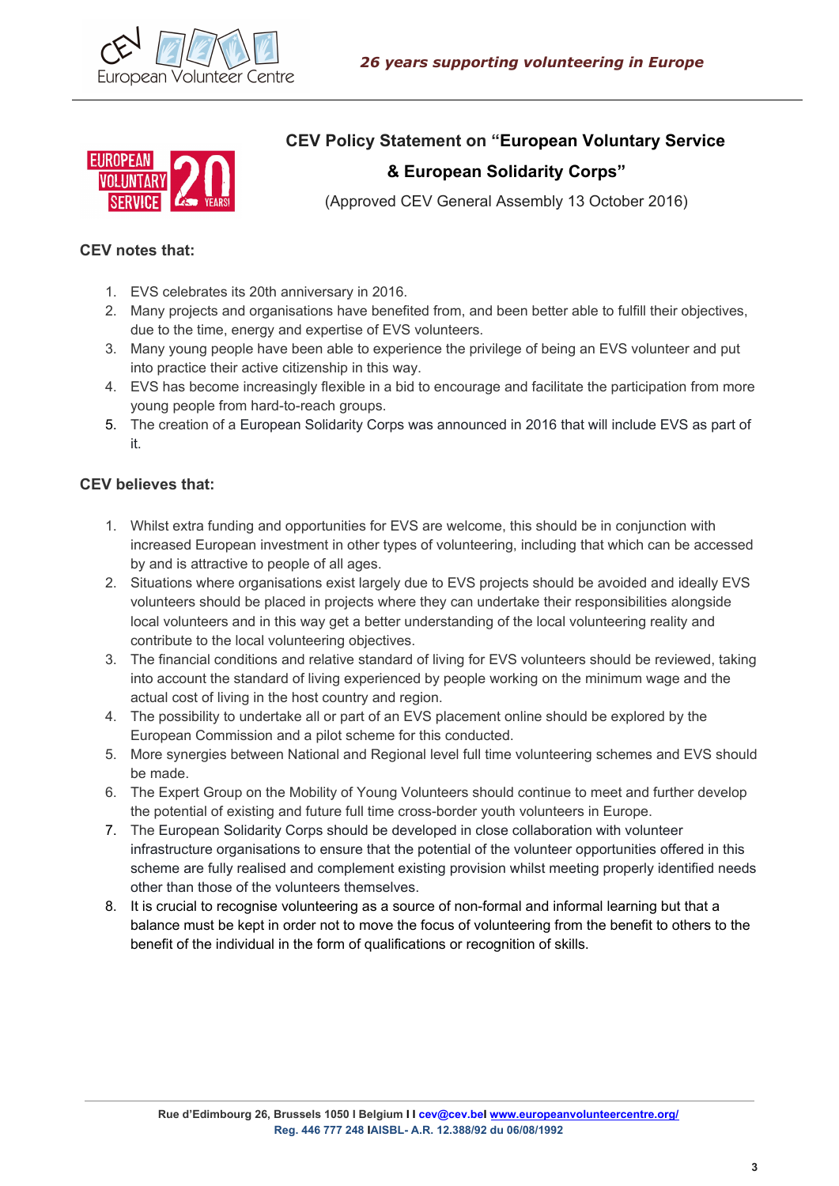



**CEV Policy Statement on "European Voluntary Service**

# **& European Solidarity Corps"**

(Approved CEV General Assembly 13 October 2016)

### **CEV notes that:**

- 1. EVS celebrates its 20th anniversary in 2016.
- 2. Many projects and organisations have benefited from, and been better able to fulfill their objectives, due to the time, energy and expertise of EVS volunteers.
- 3. Many young people have been able to experience the privilege of being an EVS volunteer and put into practice their active citizenship in this way.
- 4. EVS has become increasingly flexible in a bid to encourage and facilitate the participation from more young people from hard-to-reach groups.
- 5. The creation of a European Solidarity Corps was announced in 2016 that will include EVS as part of it.

- 1. Whilst extra funding and opportunities for EVS are welcome, this should be in conjunction with increased European investment in other types of volunteering, including that which can be accessed by and is attractive to people of all ages.
- 2. Situations where organisations exist largely due to EVS projects should be avoided and ideally EVS volunteers should be placed in projects where they can undertake their responsibilities alongside local volunteers and in this way get a better understanding of the local volunteering reality and contribute to the local volunteering objectives.
- 3. The financial conditions and relative standard of living for EVS volunteers should be reviewed, taking into account the standard of living experienced by people working on the minimum wage and the actual cost of living in the host country and region.
- 4. The possibility to undertake all or part of an EVS placement online should be explored by the European Commission and a pilot scheme for this conducted.
- 5. More synergies between National and Regional level full time volunteering schemes and EVS should be made.
- 6. The Expert Group on the Mobility of Young Volunteers should continue to meet and further develop the potential of existing and future full time cross-border youth volunteers in Europe.
- 7. The European Solidarity Corps should be developed in close collaboration with volunteer infrastructure organisations to ensure that the potential of the volunteer opportunities offered in this scheme are fully realised and complement existing provision whilst meeting properly identified needs other than those of the volunteers themselves.
- 8. It is crucial to recognise volunteering as a source of non-formal and informal learning but that a balance must be kept in order not to move the focus of volunteering from the benefit to others to the benefit of the individual in the form of qualifications or recognition of skills.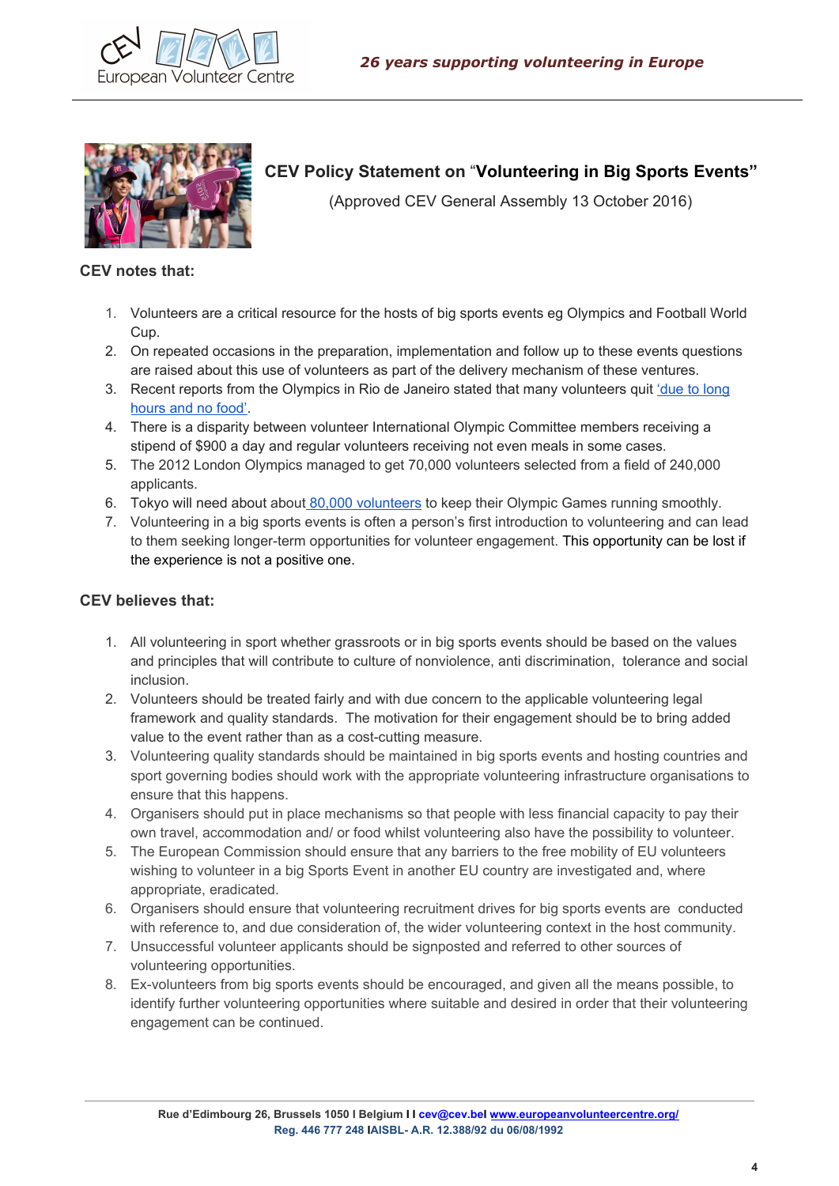



# **CEV Policy Statement on** "**Volunteering in Big Sports Events"**

(Approved CEV General Assembly 13 October 2016)

#### **CEV notes that:**

- 1. Volunteers are a critical resource for the hosts of big sports events eg Olympics and Football World Cup.
- 2. On repeated occasions in the preparation, implementation and follow up to these events questions are raised about this use of volunteers as part of the delivery mechanism of these ventures.
- 3. Recent reports from the Olympics in Rio de Janeiro stated that many volunteers quit 'due to [long](https://www.washingtonpost.com/news/early-lead/wp/2016/08/16/thousands-of-olympic-volunteers-have-quit-due-to-long-hours-and-no-food/) [hours](https://www.washingtonpost.com/news/early-lead/wp/2016/08/16/thousands-of-olympic-volunteers-have-quit-due-to-long-hours-and-no-food/) and no food'.
- 4. There is a disparity between volunteer International Olympic Committee members receiving a stipend of \$900 a day and regular volunteers receiving not even meals in some cases.
- 5. The 2012 London Olympics managed to get 70,000 volunteers selected from a field of 240,000 applicants.
- 6. Tokyo will need about about 80,000 [volunteers](https://www.japantoday.com/category/sports/view/tokyo-olympics-is-looking-for-volunteers-but-may-have-a-hard-time-finding-them) to keep their Olympic Games running smoothly.
- 7. Volunteering in a big sports events is often a person's first introduction to volunteering and can lead to them seeking longer-term opportunities for volunteer engagement. This opportunity can be lost if the experience is not a positive one.

- 1. All volunteering in sport whether grassroots or in big sports events should be based on the values and principles that will contribute to culture of nonviolence, anti discrimination, tolerance and social inclusion.
- 2. Volunteers should be treated fairly and with due concern to the applicable volunteering legal framework and quality standards. The motivation for their engagement should be to bring added value to the event rather than as a cost-cutting measure.
- 3. Volunteering quality standards should be maintained in big sports events and hosting countries and sport governing bodies should work with the appropriate volunteering infrastructure organisations to ensure that this happens.
- 4. Organisers should put in place mechanisms so that people with less financial capacity to pay their own travel, accommodation and/ or food whilst volunteering also have the possibility to volunteer.
- 5. The European Commission should ensure that any barriers to the free mobility of EU volunteers wishing to volunteer in a big Sports Event in another EU country are investigated and, where appropriate, eradicated.
- 6. Organisers should ensure that volunteering recruitment drives for big sports events are conducted with reference to, and due consideration of, the wider volunteering context in the host community.
- 7. Unsuccessful volunteer applicants should be signposted and referred to other sources of volunteering opportunities.
- 8. Ex-volunteers from big sports events should be encouraged, and given all the means possible, to identify further volunteering opportunities where suitable and desired in order that their volunteering engagement can be continued.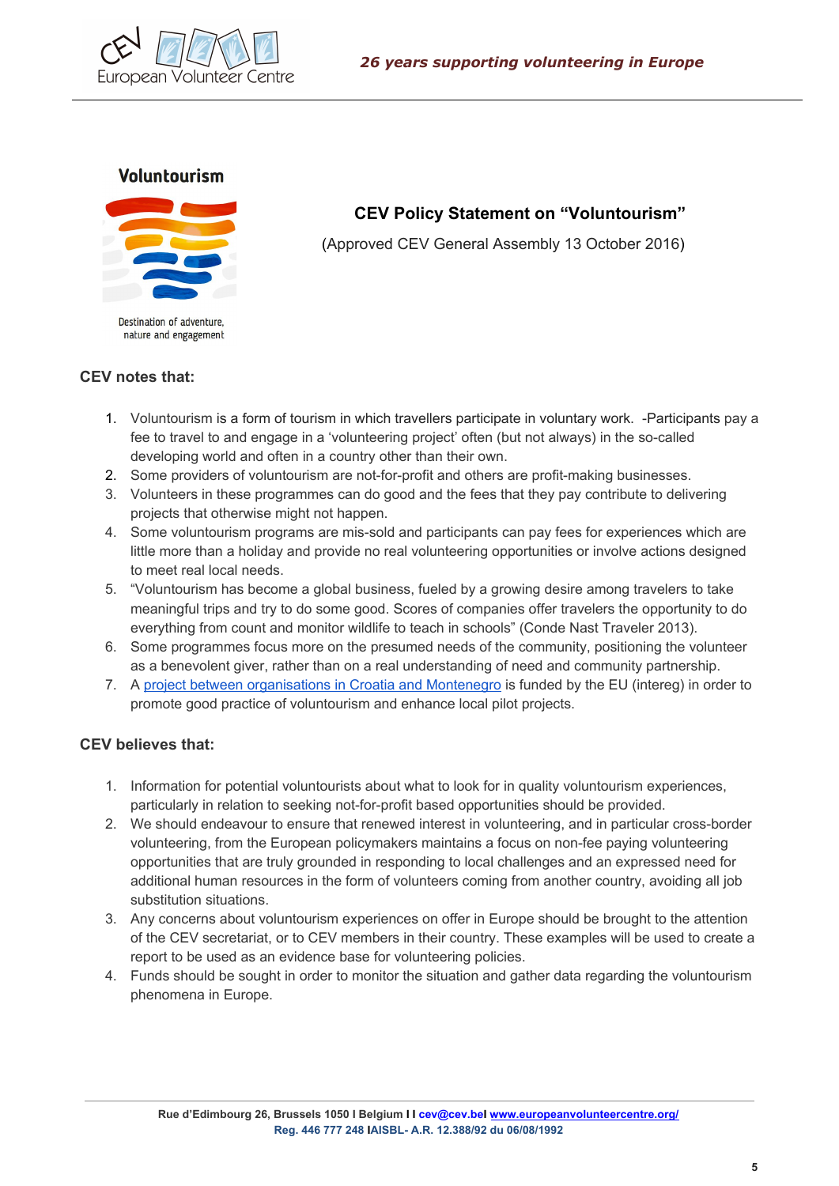

### **Voluntourism**



Destination of adventure, nature and engagement

# **CEV Policy Statement on "Voluntourism"**

(Approved CEV General Assembly 13 October 2016)

### **CEV notes that:**

- 1. Voluntourism is a form of tourism in which travellers participate in voluntary work. -Participants pay a fee to travel to and engage in a 'volunteering project' often (but not always) in the so-called developing world and often in a country other than their own.
- 2. Some providers of voluntourism are not-for-profit and others are profit-making businesses.
- 3. Volunteers in these programmes can do good and the fees that they pay contribute to delivering projects that otherwise might not happen.
- 4. Some voluntourism programs are mis-sold and participants can pay fees for experiences which are little more than a holiday and provide no real volunteering opportunities or involve actions designed to meet real local needs.
- 5. "Voluntourism has become a global business, fueled by a growing desire among travelers to take meaningful trips and try to do some good. Scores of companies offer travelers the opportunity to do everything from count and monitor wildlife to teach in schools" (Conde Nast Traveler 2013).
- 6. Some programmes focus more on the presumed needs of the community, positioning the volunteer as a benevolent giver, rather than on a real understanding of need and community partnership.
- 7. A project between [organisations](http://www.volonturizam.info/en/15-uncategorised-en-gb) in Croatia and Montenegro is funded by the EU (intereg) in order to promote good practice of voluntourism and enhance local pilot projects.

- 1. Information for potential voluntourists about what to look for in quality voluntourism experiences, particularly in relation to seeking not-for-profit based opportunities should be provided.
- 2. We should endeavour to ensure that renewed interest in volunteering, and in particular cross-border volunteering, from the European policymakers maintains a focus on non-fee paying volunteering opportunities that are truly grounded in responding to local challenges and an expressed need for additional human resources in the form of volunteers coming from another country, avoiding all job substitution situations.
- 3. Any concerns about voluntourism experiences on offer in Europe should be brought to the attention of the CEV secretariat, or to CEV members in their country. These examples will be used to create a report to be used as an evidence base for volunteering policies.
- 4. Funds should be sought in order to monitor the situation and gather data regarding the voluntourism phenomena in Europe.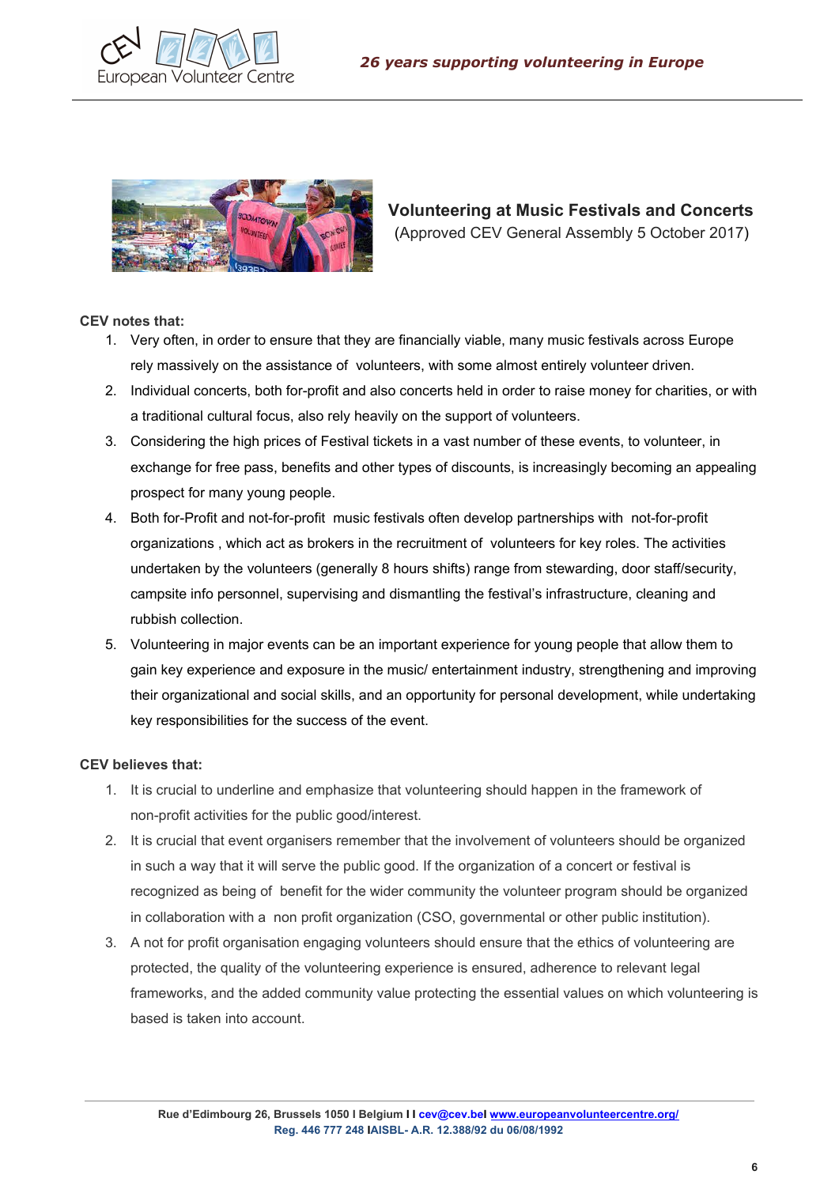



# **Volunteering at Music Festivals and Concerts** (Approved CEV General Assembly 5 October 2017)

#### **CEV notes that:**

- 1. Very often, in order to ensure that they are financially viable, many music festivals across Europe rely massively on the assistance of volunteers, with some almost entirely volunteer driven.
- 2. Individual concerts, both for-profit and also concerts held in order to raise money for charities, or with a traditional cultural focus, also rely heavily on the support of volunteers.
- 3. Considering the high prices of Festival tickets in a vast number of these events, to volunteer, in exchange for free pass, benefits and other types of discounts, is increasingly becoming an appealing prospect for many young people.
- 4. Both for-Profit and not-for-profit music festivals often develop partnerships with not-for-profit organizations , which act as brokers in the recruitment of volunteers for key roles. The activities undertaken by the volunteers (generally 8 hours shifts) range from stewarding, door staff/security, campsite info personnel, supervising and dismantling the festival's infrastructure, cleaning and rubbish collection.
- 5. Volunteering in major events can be an important experience for young people that allow them to gain key experience and exposure in the music/ entertainment industry, strengthening and improving their organizational and social skills, and an opportunity for personal development, while undertaking key responsibilities for the success of the event.

- 1. It is crucial to underline and emphasize that volunteering should happen in the framework of non-profit activities for the public good/interest.
- 2. It is crucial that event organisers remember that the involvement of volunteers should be organized in such a way that it will serve the public good. If the organization of a concert or festival is recognized as being of benefit for the wider community the volunteer program should be organized in collaboration with a non profit organization (CSO, governmental or other public institution).
- 3. A not for profit organisation engaging volunteers should ensure that the ethics of volunteering are protected, the quality of the volunteering experience is ensured, adherence to relevant legal frameworks, and the added community value protecting the essential values on which volunteering is based is taken into account.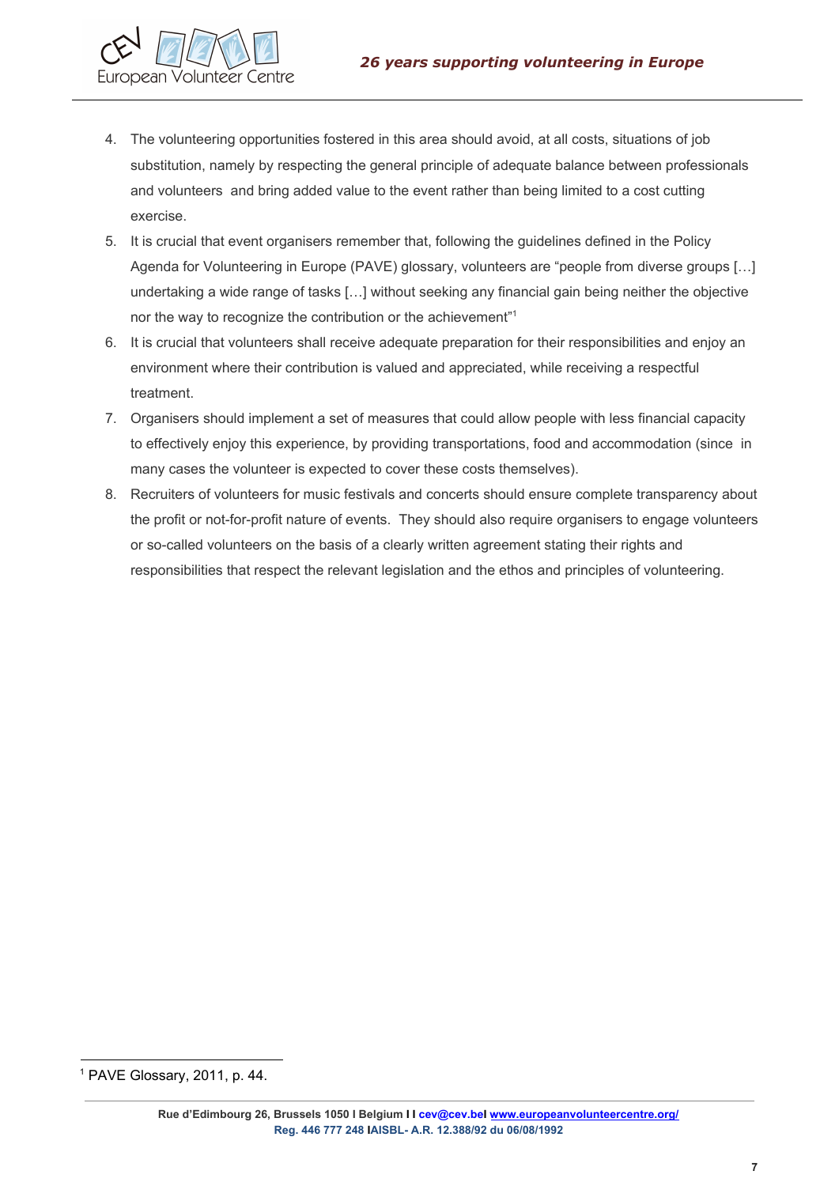

- 4. The volunteering opportunities fostered in this area should avoid, at all costs, situations of job substitution, namely by respecting the general principle of adequate balance between professionals and volunteers and bring added value to the event rather than being limited to a cost cutting exercise.
- 5. It is crucial that event organisers remember that, following the guidelines defined in the Policy Agenda for Volunteering in Europe (PAVE) glossary, volunteers are "people from diverse groups […] undertaking a wide range of tasks […] without seeking any financial gain being neither the objective nor the way to recognize the contribution or the achievement"<sup>1</sup>
- 6. It is crucial that volunteers shall receive adequate preparation for their responsibilities and enjoy an environment where their contribution is valued and appreciated, while receiving a respectful treatment.
- 7. Organisers should implement a set of measures that could allow people with less financial capacity to effectively enjoy this experience, by providing transportations, food and accommodation (since in many cases the volunteer is expected to cover these costs themselves).
- 8. Recruiters of volunteers for music festivals and concerts should ensure complete transparency about the profit or not-for-profit nature of events. They should also require organisers to engage volunteers or so-called volunteers on the basis of a clearly written agreement stating their rights and responsibilities that respect the relevant legislation and the ethos and principles of volunteering.

<sup>1</sup> PAVE Glossary, 2011, p. 44.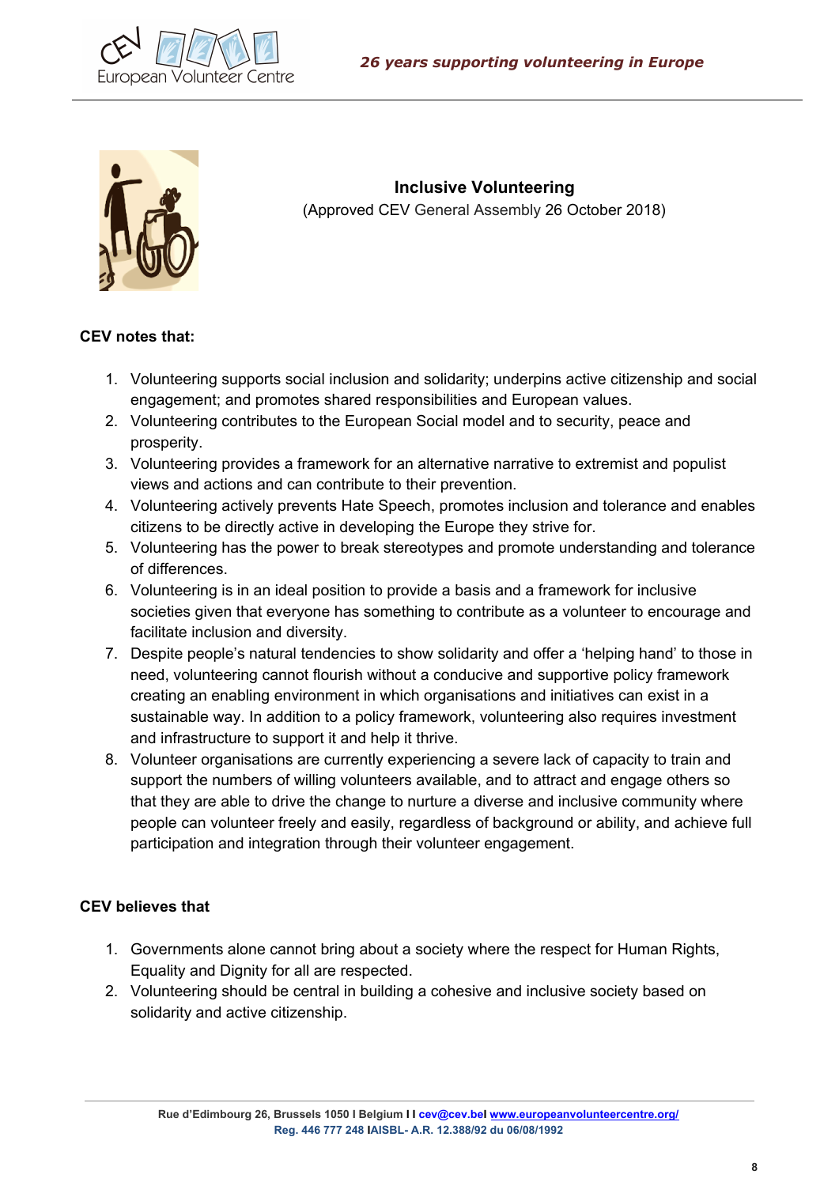



**Inclusive Volunteering** (Approved CEV General Assembly 26 October 2018)

## **CEV notes that:**

- 1. Volunteering supports social inclusion and solidarity; underpins active citizenship and social engagement; and promotes shared responsibilities and European values.
- 2. Volunteering contributes to the European Social model and to security, peace and prosperity.
- 3. Volunteering provides a framework for an alternative narrative to extremist and populist views and actions and can contribute to their prevention.
- 4. Volunteering actively prevents Hate Speech, promotes inclusion and tolerance and enables citizens to be directly active in developing the Europe they strive for.
- 5. Volunteering has the power to break stereotypes and promote understanding and tolerance of differences.
- 6. Volunteering is in an ideal position to provide a basis and a framework for inclusive societies given that everyone has something to contribute as a volunteer to encourage and facilitate inclusion and diversity.
- 7. Despite people's natural tendencies to show solidarity and offer a 'helping hand' to those in need, volunteering cannot flourish without a conducive and supportive policy framework creating an enabling environment in which organisations and initiatives can exist in a sustainable way. In addition to a policy framework, volunteering also requires investment and infrastructure to support it and help it thrive.
- 8. Volunteer organisations are currently experiencing a severe lack of capacity to train and support the numbers of willing volunteers available, and to attract and engage others so that they are able to drive the change to nurture a diverse and inclusive community where people can volunteer freely and easily, regardless of background or ability, and achieve full participation and integration through their volunteer engagement.

- 1. Governments alone cannot bring about a society where the respect for Human Rights, Equality and Dignity for all are respected.
- 2. Volunteering should be central in building a cohesive and inclusive society based on solidarity and active citizenship.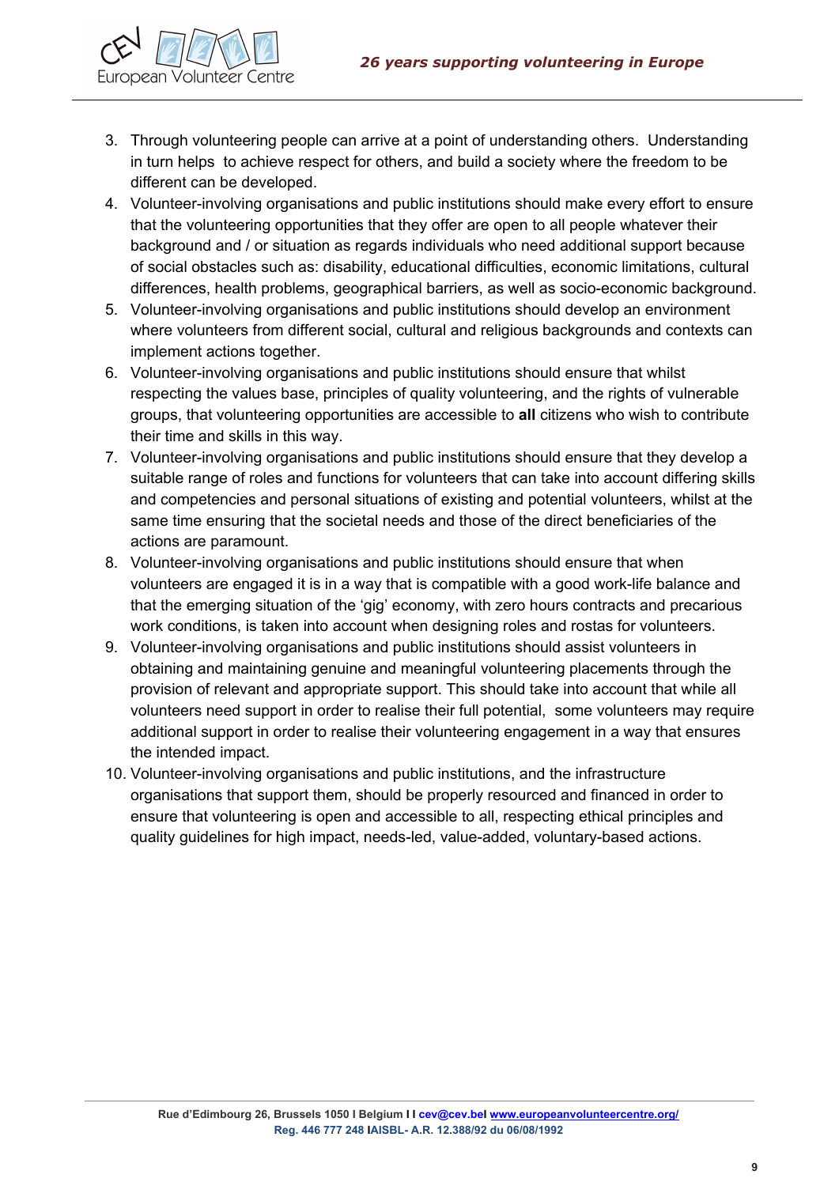

- 3. Through volunteering people can arrive at a point of understanding others. Understanding in turn helps to achieve respect for others, and build a society where the freedom to be different can be developed.
- 4. Volunteer-involving organisations and public institutions should make every effort to ensure that the volunteering opportunities that they offer are open to all people whatever their background and / or situation as regards individuals who need additional support because of social obstacles such as: disability, educational difficulties, economic limitations, cultural differences, health problems, geographical barriers, as well as socio-economic background.
- 5. Volunteer-involving organisations and public institutions should develop an environment where volunteers from different social, cultural and religious backgrounds and contexts can implement actions together.
- 6. Volunteer-involving organisations and public institutions should ensure that whilst respecting the values base, principles of quality volunteering, and the rights of vulnerable groups, that volunteering opportunities are accessible to **all** citizens who wish to contribute their time and skills in this way.
- 7. Volunteer-involving organisations and public institutions should ensure that they develop a suitable range of roles and functions for volunteers that can take into account differing skills and competencies and personal situations of existing and potential volunteers, whilst at the same time ensuring that the societal needs and those of the direct beneficiaries of the actions are paramount.
- 8. Volunteer-involving organisations and public institutions should ensure that when volunteers are engaged it is in a way that is compatible with a good work-life balance and that the emerging situation of the 'gig' economy, with zero hours contracts and precarious work conditions, is taken into account when designing roles and rostas for volunteers.
- 9. Volunteer-involving organisations and public institutions should assist volunteers in obtaining and maintaining genuine and meaningful volunteering placements through the provision of relevant and appropriate support. This should take into account that while all volunteers need support in order to realise their full potential, some volunteers may require additional support in order to realise their volunteering engagement in a way that ensures the intended impact.
- 10. Volunteer-involving organisations and public institutions, and the infrastructure organisations that support them, should be properly resourced and financed in order to ensure that volunteering is open and accessible to all, respecting ethical principles and quality guidelines for high impact, needs-led, value-added, voluntary-based actions.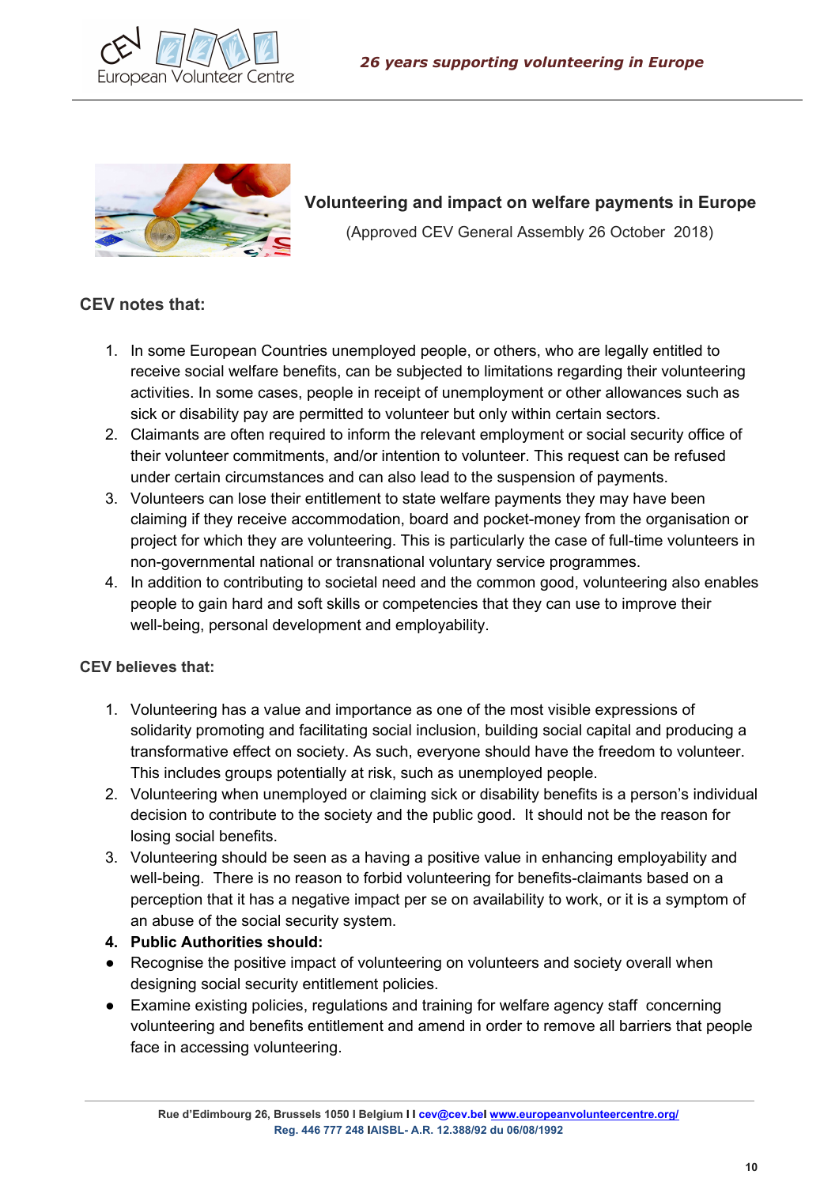



**Volunteering and impact on welfare payments in Europe** (Approved CEV General Assembly 26 October 2018)

## **CEV notes that:**

- 1. In some European Countries unemployed people, or others, who are legally entitled to receive social welfare benefits, can be subjected to limitations regarding their volunteering activities. In some cases, people in receipt of unemployment or other allowances such as sick or disability pay are permitted to volunteer but only within certain sectors.
- 2. Claimants are often required to inform the relevant employment or social security office of their volunteer commitments, and/or intention to volunteer. This request can be refused under certain circumstances and can also lead to the suspension of payments.
- 3. Volunteers can lose their entitlement to state welfare payments they may have been claiming if they receive accommodation, board and pocket-money from the organisation or project for which they are volunteering. This is particularly the case of full-time volunteers in non-governmental national or transnational voluntary service programmes.
- 4. In addition to contributing to societal need and the common good, volunteering also enables people to gain hard and soft skills or competencies that they can use to improve their well-being, personal development and employability.

- 1. Volunteering has a value and importance as one of the most visible expressions of solidarity promoting and facilitating social inclusion, building social capital and producing a transformative effect on society. As such, everyone should have the freedom to volunteer. This includes groups potentially at risk, such as unemployed people.
- 2. Volunteering when unemployed or claiming sick or disability benefits is a person's individual decision to contribute to the society and the public good. It should not be the reason for losing social benefits.
- 3. Volunteering should be seen as a having a positive value in enhancing employability and well-being. There is no reason to forbid volunteering for benefits-claimants based on a perception that it has a negative impact per se on availability to work, or it is a symptom of an abuse of the social security system.
- **4. Public Authorities should:**
- Recognise the positive impact of volunteering on volunteers and society overall when designing social security entitlement policies.
- Examine existing policies, regulations and training for welfare agency staff concerning volunteering and benefits entitlement and amend in order to remove all barriers that people face in accessing volunteering.